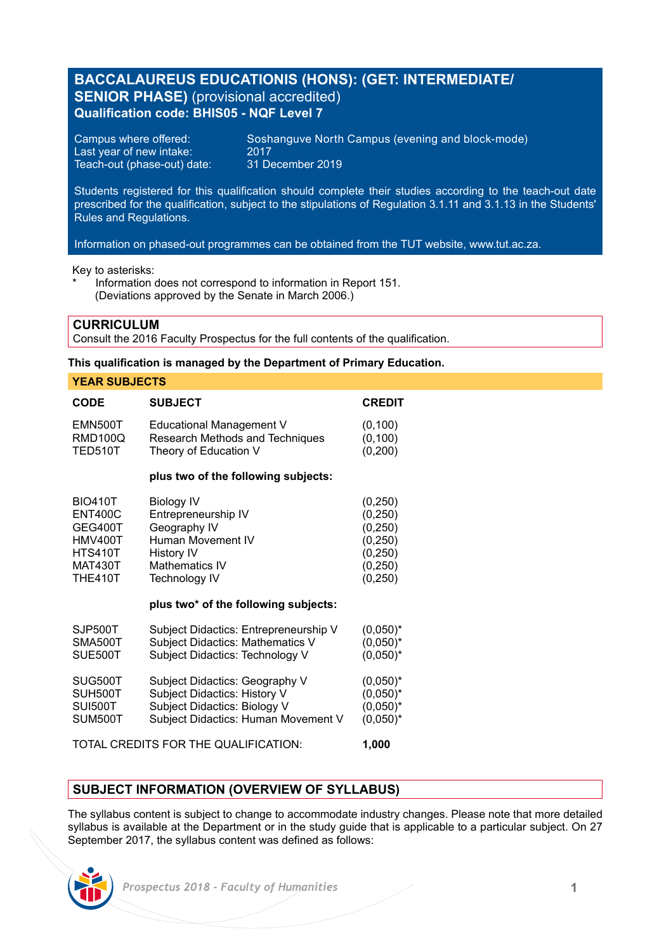# **BACCALAUREUS EDUCATIONIS (HONS): (GET: INTERMEDIATE/ SENIOR PHASE)** (provisional accredited) **Qualification code: BHIS05 - NQF Level 7**

Last year of new intake: 2017<br>Teach-out (phase-out) date: 31 December 2019 Teach-out (phase-out) date:

Campus where offered: Soshanguve North Campus (evening and block-mode)<br>Last year of new intake: 2017

Students registered for this qualification should complete their studies according to the teach-out date prescribed for the qualification, subject to the stipulations of Regulation 3.1.11 and 3.1.13 in the Students' Rules and Regulations.

Information on phased-out programmes can be obtained from the TUT website, www.tut.ac.za.

Key to asterisks:

Information does not correspond to information in Report 151. (Deviations approved by the Senate in March 2006.)

### **CURRICULUM**

Consult the 2016 Faculty Prospectus for the full contents of the qualification.

### **This qualification is managed by the Department of Primary Education.**

| <b>YEAR SUBJECTS</b>                                                                                                |                                                                                                                                                                                             |                                                                                  |
|---------------------------------------------------------------------------------------------------------------------|---------------------------------------------------------------------------------------------------------------------------------------------------------------------------------------------|----------------------------------------------------------------------------------|
| CODE                                                                                                                | <b>SUBJECT</b>                                                                                                                                                                              | <b>CREDIT</b>                                                                    |
| <b>EMN500T</b><br><b>RMD100Q</b><br><b>TED510T</b>                                                                  | Educational Management V<br>Research Methods and Techniques<br>Theory of Education V                                                                                                        | (0, 100)<br>(0, 100)<br>(0, 200)                                                 |
| plus two of the following subjects:                                                                                 |                                                                                                                                                                                             |                                                                                  |
| <b>BIO410T</b><br><b>ENT400C</b><br>GEG400T<br><b>HMV400T</b><br><b>HTS410T</b><br><b>MAT430T</b><br><b>THE410T</b> | <b>Biology IV</b><br>Entrepreneurship IV<br>Geography IV<br>Human Movement IV<br><b>History IV</b><br><b>Mathematics IV</b><br><b>Technology IV</b><br>plus two* of the following subjects: | (0, 250)<br>(0, 250)<br>(0, 250)<br>(0, 250)<br>(0, 250)<br>(0, 250)<br>(0, 250) |
| SJP500T<br>SMA500T<br>SUE500T                                                                                       | Subject Didactics: Entrepreneurship V<br>Subject Didactics: Mathematics V<br>Subject Didactics: Technology V                                                                                | $(0,050)^*$<br>$(0,050)^*$<br>$(0.050)^*$                                        |
| SUG500T<br>SUH500T<br><b>SUI500T</b><br>SUM500T                                                                     | Subject Didactics: Geography V<br>Subject Didactics: History V<br>Subject Didactics: Biology V<br>Subject Didactics: Human Movement V                                                       | $(0,050)^*$<br>$(0.050)^*$<br>$(0.050)^*$<br>$(0.050)^*$                         |
| TOTAL CREDITS FOR THE QUALIFICATION:<br>1.000                                                                       |                                                                                                                                                                                             |                                                                                  |

## **SUBJECT INFORMATION (OVERVIEW OF SYLLABUS)**

The syllabus content is subject to change to accommodate industry changes. Please note that more detailed syllabus is available at the Department or in the study guide that is applicable to a particular subject. On 27 September 2017, the syllabus content was defined as follows:

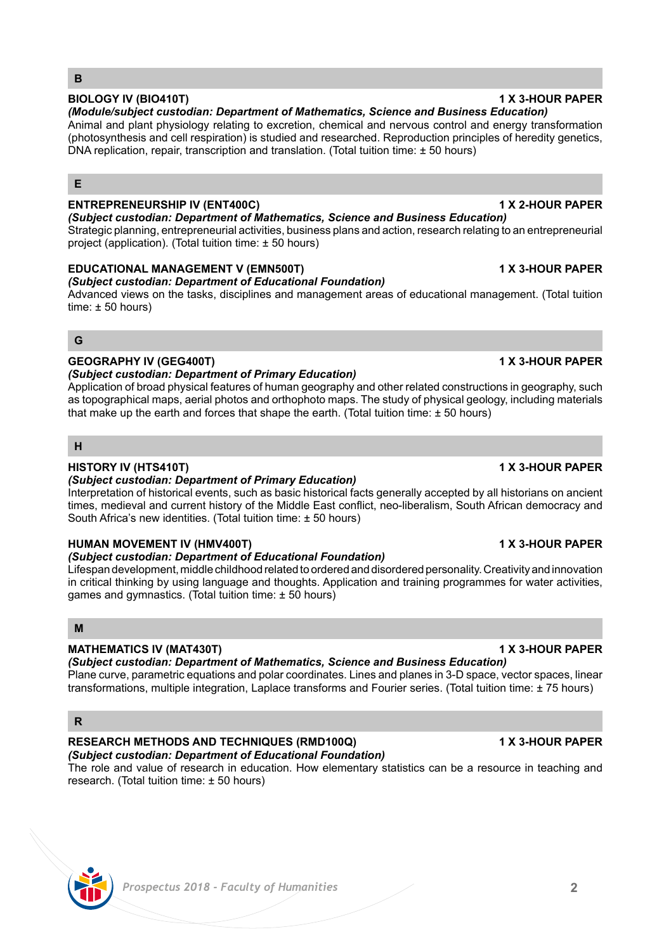# **BIOLOGY IV (BIO410T) 1 X 3-HOUR PAPER**

### *(Module/subject custodian: Department of Mathematics, Science and Business Education)*  Animal and plant physiology relating to excretion, chemical and nervous control and energy transformation (photosynthesis and cell respiration) is studied and researched. Reproduction principles of heredity genetics, DNA replication, repair, transcription and translation. (Total tuition time: ± 50 hours)

## **E**

**B**

## **ENTREPRENEURSHIP IV (ENT400C) 1 X 2-HOUR PAPER**

*(Subject custodian: Department of Mathematics, Science and Business Education)*  Strategic planning, entrepreneurial activities, business plans and action, research relating to an entrepreneurial project (application). (Total tuition time: ± 50 hours)

## **EDUCATIONAL MANAGEMENT V (EMN500T) 1 X 3-HOUR PAPER**

## *(Subject custodian: Department of Educational Foundation)*

Advanced views on the tasks, disciplines and management areas of educational management. (Total tuition time: ± 50 hours)

## **G**

## **GEOGRAPHY IV (GEG400T) 1 X 3-HOUR PAPER**

## *(Subject custodian: Department of Primary Education)*

Application of broad physical features of human geography and other related constructions in geography, such as topographical maps, aerial photos and orthophoto maps. The study of physical geology, including materials that make up the earth and forces that shape the earth. (Total tuition time:  $\pm$  50 hours)

## **H**

## **HISTORY IV (HTS410T) 1 X 3-HOUR PAPER**

## *(Subject custodian: Department of Primary Education)*

Interpretation of historical events, such as basic historical facts generally accepted by all historians on ancient times, medieval and current history of the Middle East conflict, neo-liberalism, South African democracy and South Africa's new identities. (Total tuition time: ± 50 hours)

## **HUMAN MOVEMENT IV (HMV400T) 1 X 3-HOUR PAPER**

## *(Subject custodian: Department of Educational Foundation)*

Lifespan development, middle childhood related to ordered and disordered personality. Creativity and innovation in critical thinking by using language and thoughts. Application and training programmes for water activities, games and gymnastics. (Total tuition time: ± 50 hours)

## **M**

## **MATHEMATICS IV (MAT430T) 1 X 3-HOUR PAPER**

*(Subject custodian: Department of Mathematics, Science and Business Education)* 

Plane curve, parametric equations and polar coordinates. Lines and planes in 3-D space, vector spaces, linear transformations, multiple integration, Laplace transforms and Fourier series. (Total tuition time: ± 75 hours)

# **R**

# **RESEARCH METHODS AND TECHNIQUES (RMD100Q) 1 X 3-HOUR PAPER**

# *(Subject custodian: Department of Educational Foundation)*

The role and value of research in education. How elementary statistics can be a resource in teaching and research. (Total tuition time: ± 50 hours)